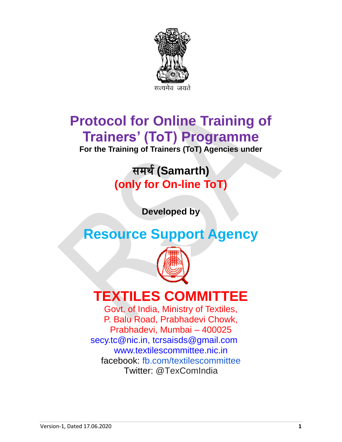

# **Protocol for Online Training of Trainers' (ToT) Programme**

**For the Training of Trainers (ToT) Agencies under**

# समर्थ**(Samarth) (only for On-line ToT)**

**Developed by**

# **Resource Support Agency**



# **TEXTILES COMMITTEE**

Govt. of India, Ministry of Textiles, P. Balu Road, Prabhadevi Chowk, Prabhadevi, Mumbai – 400025 [secy.tc@nic.in,](mailto:secy.tc@nic.in) [tcrsaisds@gmail.com](mailto:tcrsaisds@gmail.com) [www.textilescommittee.nic.in](http://www.textilescommittee.nic.in/) facebook: [fb.com/textilescommittee](http://fb.com/) Twitter: @TexComIndia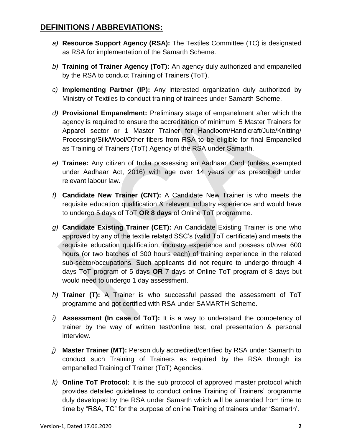- *a)* **Resource Support Agency (RSA):** The Textiles Committee (TC) is designated as RSA for implementation of the Samarth Scheme.
- *b)* **Training of Trainer Agency (ToT):** An agency duly authorized and empanelled by the RSA to conduct Training of Trainers (ToT).
- *c)* **Implementing Partner (IP):** Any interested organization duly authorized by Ministry of Textiles to conduct training of trainees under Samarth Scheme.
- *d)* **Provisional Empanelment:** Preliminary stage of empanelment after which the agency is required to ensure the accreditation of minimum 5 Master Trainers for Apparel sector or 1 Master Trainer for Handloom/Handicraft/Jute/Knitting/ Processing/Silk/Wool/Other fibers from RSA to be eligible for final Empanelled as Training of Trainers (ToT) Agency of the RSA under Samarth.
- *e)* **Trainee:** Any citizen of India possessing an Aadhaar Card (unless exempted under Aadhaar Act, 2016) with age over 14 years or as prescribed under relevant labour law.
- *f)* **Candidate New Trainer (CNT):** A Candidate New Trainer is who meets the requisite education qualification & relevant industry experience and would have to undergo 5 days of ToT **OR 8 days** of Online ToT programme.
- *g)* **Candidate Existing Trainer (CET):** An Candidate Existing Trainer is one who approved by any of the textile related SSC's (valid ToT certificate) and meets the requisite education qualification, industry experience and possess of/over 600 hours (or two batches of 300 hours each) of training experience in the related sub-sector/occupations. Such applicants did not require to undergo through 4 days ToT program of 5 days **OR** 7 days of Online ToT program of 8 days but would need to undergo 1 day assessment.
- *h)* **Trainer (T):** A Trainer is who successful passed the assessment of ToT programme and got certified with RSA under SAMARTH Scheme.
- *i)* **Assessment (In case of ToT):** It is a way to understand the competency of trainer by the way of written test/online test, oral presentation & personal interview.
- *j)* **Master Trainer (MT):** Person duly accredited/certified by RSA under Samarth to conduct such Training of Trainers as required by the RSA through its empanelled Training of Trainer (ToT) Agencies.
- *k)* **Online ToT Protocol:** It is the sub protocol of approved master protocol which provides detailed guidelines to conduct online Training of Trainers' programme duly developed by the RSA under Samarth which will be amended from time to time by "RSA, TC" for the purpose of online Training of trainers under 'Samarth'.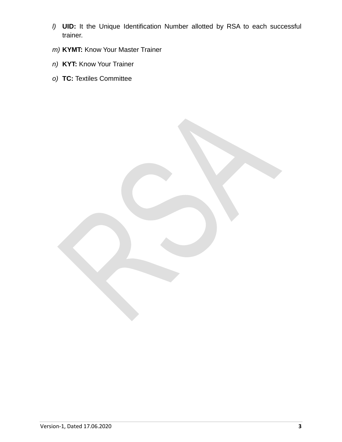- *l)* **UID:** It the Unique Identification Number allotted by RSA to each successful trainer.
- *m)* **KYMT:** Know Your Master Trainer
- *n)* **KYT:** Know Your Trainer
- *o)* **TC:** Textiles Committee

Version-1, Dated 17.06.2020 **3**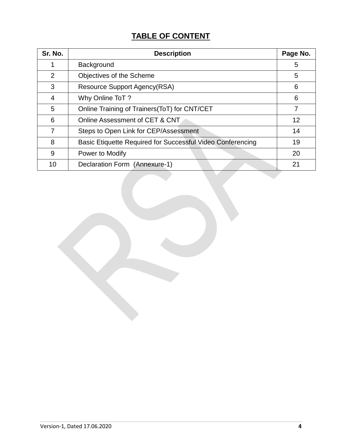# **TABLE OF CONTENT**

| Sr. No. | <b>Description</b>                                         | Page No. |
|---------|------------------------------------------------------------|----------|
|         | Background                                                 | 5        |
| 2       | Objectives of the Scheme                                   | 5        |
| 3       | <b>Resource Support Agency(RSA)</b>                        | 6        |
| 4       | Why Online ToT?                                            | 6        |
| 5       | Online Training of Trainers(ToT) for CNT/CET               | 7        |
| 6       | Online Assessment of CET & CNT                             | 12       |
| 7       | Steps to Open Link for CEP/Assessment                      | 14       |
| 8       | Basic Etiquette Required for Successful Video Conferencing | 19       |
| 9       | Power to Modify                                            | 20       |
| 10      | Declaration Form (Annexure-1)                              | 21       |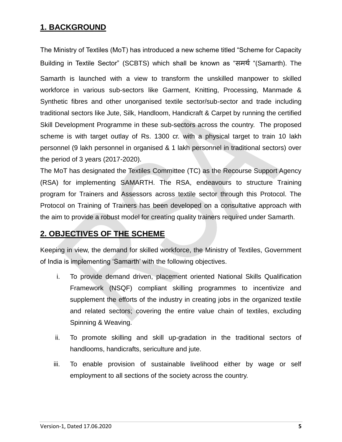### **1. BACKGROUND**

The Ministry of Textiles (MoT) has introduced a new scheme titled "Scheme for Capacity Building in Textile Sector" (SCBTS) which shall be known as "समर्थ "(Samarth). The Samarth is launched with a view to transform the unskilled manpower to skilled workforce in various sub-sectors like Garment, Knitting, Processing, Manmade & Synthetic fibres and other unorganised textile sector/sub-sector and trade including traditional sectors like Jute, Silk, Handloom, Handicraft & Carpet by running the certified Skill Development Programme in these sub-sectors across the country. The proposed scheme is with target outlay of Rs. 1300 cr. with a physical target to train 10 lakh personnel (9 lakh personnel in organised & 1 lakh personnel in traditional sectors) over the period of 3 years (2017-2020).

The MoT has designated the Textiles Committee (TC) as the Recourse Support Agency (RSA) for implementing SAMARTH. The RSA, endeavours to structure Training program for Trainers and Assessors across textile sector through this Protocol. The Protocol on Training of Trainers has been developed on a consultative approach with the aim to provide a robust model for creating quality trainers required under Samarth.

### **2. OBJECTIVES OF THE SCHEME**

Keeping in view, the demand for skilled workforce, the Ministry of Textiles, Government of India is implementing 'Samarth' with the following objectives.

- i. To provide demand driven, placement oriented National Skills Qualification Framework (NSQF) compliant skilling programmes to incentivize and supplement the efforts of the industry in creating jobs in the organized textile and related sectors; covering the entire value chain of textiles, excluding Spinning & Weaving.
- ii. To promote skilling and skill up-gradation in the traditional sectors of handlooms, handicrafts, sericulture and jute.
- iii. To enable provision of sustainable livelihood either by wage or self employment to all sections of the society across the country.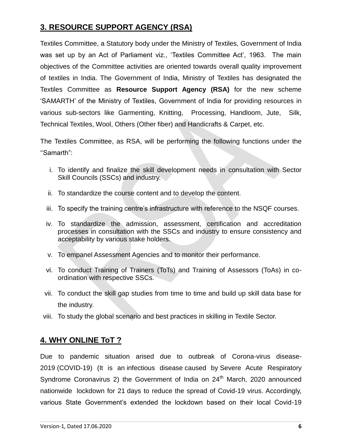## **3. RESOURCE SUPPORT AGENCY (RSA)**

Textiles Committee, a Statutory body under the Ministry of Textiles, Government of India was set up by an Act of Parliament viz., 'Textiles Committee Act', 1963. The main objectives of the Committee activities are oriented towards overall quality improvement of textiles in India. The Government of India, Ministry of Textiles has designated the Textiles Committee as **Resource Support Agency (RSA)** for the new scheme 'SAMARTH' of the Ministry of Textiles, Government of India for providing resources in various sub-sectors like Garmenting, Knitting, Processing, Handloom, Jute, Silk, Technical Textiles, Wool, Others (Other fiber) and Handicrafts & Carpet, etc.

The Textiles Committee, as RSA, will be performing the following functions under the ''Samarth":

- i. To identify and finalize the skill development needs in consultation with Sector Skill Councils (SSCs) and industry.
- ii. To standardize the course content and to develop the content.
- iii. To specify the training centre's infrastructure with reference to the NSQF courses.
- iv. To standardize the admission, assessment, certification and accreditation processes in consultation with the SSCs and industry to ensure consistency and acceptability by various stake holders.
- v. To empanel Assessment Agencies and to monitor their performance.
- vi. To conduct Training of Trainers (ToTs) and Training of Assessors (ToAs) in coordination with respective SSCs.
- vii. To conduct the skill gap studies from time to time and build up skill data base for the industry.
- viii. To study the global scenario and best practices in skilling in Textile Sector.

### **4. WHY ONLINE ToT ?**

Due to pandemic situation arised due to outbreak of Corona-virus disease-2019 (COVID-19) (It is an [infectious disease](https://en.wikipedia.org/wiki/Infectious_disease) caused by Severe [Acute Respiratory](https://en.wikipedia.org/wiki/Severe_acute_respiratory_syndrome_coronavirus_2)  [Syndrome Coronavirus 2\)](https://en.wikipedia.org/wiki/Severe_acute_respiratory_syndrome_coronavirus_2) the Government of India on  $24<sup>th</sup>$  March, 2020 announced nationwide lockdown for 21 days to reduce the spread of Covid-19 virus. Accordingly, various State Government's extended the lockdown based on their local Covid-19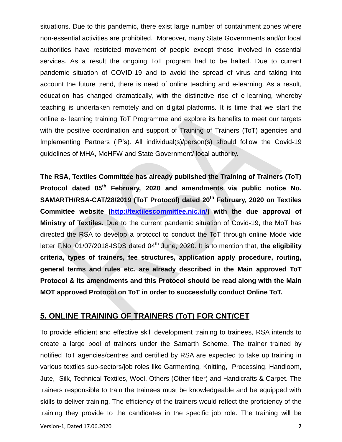situations. Due to this pandemic, there exist large number of containment zones where non-essential activities are prohibited. Moreover, many State Governments and/or local authorities have restricted movement of people except those involved in essential services. As a result the ongoing ToT program had to be halted. Due to current pandemic situation of COVID-19 and to avoid the spread of virus and taking into account the future trend, there is need of online teaching and e-learning. As a result, education has changed dramatically, with the distinctive rise of e-learning, whereby teaching is undertaken remotely and on digital platforms. It is time that we start the online e- learning training ToT Programme and explore its benefits to meet our targets with the positive coordination and support of Training of Trainers (ToT) agencies and Implementing Partners (IP's). All individual(s)/person(s) should follow the Covid-19 guidelines of MHA, MoHFW and State Government/ local authority.

**The RSA, Textiles Committee has already published the Training of Trainers (ToT) Protocol dated 05th February, 2020 and amendments via public notice No. SAMARTH/RSA-CAT/28/2019 (ToT Protocol) dated 20th February, 2020 on Textiles Committee website [\(http://textilescommittee.nic.in/\)](http://textilescommittee.nic.in/) with the due approval of Ministry of Textiles.** Due to the current pandemic situation of Covid-19, the MoT has directed the RSA to develop a protocol to conduct the ToT through online Mode vide letter F.No. 01/07/2018-ISDS dated 04<sup>th</sup> June, 2020. It is to mention that, the eligibility **criteria, types of trainers, fee structures, application apply procedure, routing, general terms and rules etc. are already described in the Main approved ToT Protocol & its amendments and this Protocol should be read along with the Main MOT approved Protocol on ToT in order to successfully conduct Online ToT.**

# **5. ONLINE TRAINING OF TRAINERS (ToT) FOR CNT/CET**

To provide efficient and effective skill development training to trainees, RSA intends to create a large pool of trainers under the Samarth Scheme. The trainer trained by notified ToT agencies/centres and certified by RSA are expected to take up training in various textiles sub-sectors/job roles like Garmenting, Knitting, Processing, Handloom, Jute, Silk, Technical Textiles, Wool, Others (Other fiber) and Handicrafts & Carpet. The trainers responsible to train the trainees must be knowledgeable and be equipped with skills to deliver training. The efficiency of the trainers would reflect the proficiency of the training they provide to the candidates in the specific job role. The training will be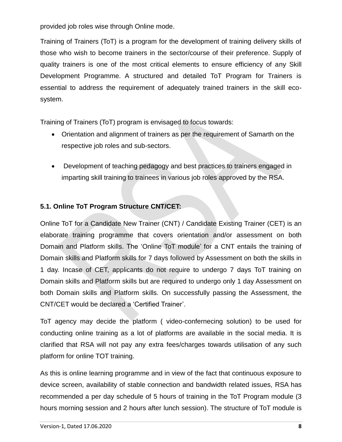provided job roles wise through Online mode.

Training of Trainers (ToT) is a program for the development of training delivery skills of those who wish to become trainers in the sector/course of their preference. Supply of quality trainers is one of the most critical elements to ensure efficiency of any Skill Development Programme. A structured and detailed ToT Program for Trainers is essential to address the requirement of adequately trained trainers in the skill ecosystem.

Training of Trainers (ToT) program is envisaged to focus towards:

- Orientation and alignment of trainers as per the requirement of Samarth on the respective job roles and sub-sectors.
- Development of teaching pedagogy and best practices to trainers engaged in imparting skill training to trainees in various job roles approved by the RSA.

#### **5.1. Online ToT Program Structure CNT/CET:**

Online ToT for a Candidate New Trainer (CNT) / Candidate Existing Trainer (CET) is an elaborate training programme that covers orientation and/or assessment on both Domain and Platform skills. The 'Online ToT module' for a CNT entails the training of Domain skills and Platform skills for 7 days followed by Assessment on both the skills in 1 day. Incase of CET, applicants do not require to undergo 7 days ToT training on Domain skills and Platform skills but are required to undergo only 1 day Assessment on both Domain skills and Platform skills. On successfully passing the Assessment, the CNT/CET would be declared a 'Certified Trainer'.

ToT agency may decide the platform ( video-confernecing solution) to be used for conducting online training as a lot of platforms are available in the social media. It is clarified that RSA will not pay any extra fees/charges towards utilisation of any such platform for online TOT training.

As this is online learning programme and in view of the fact that continuous exposure to device screen, availability of stable connection and bandwidth related issues, RSA has recommended a per day schedule of 5 hours of training in the ToT Program module (3 hours morning session and 2 hours after lunch session). The structure of ToT module is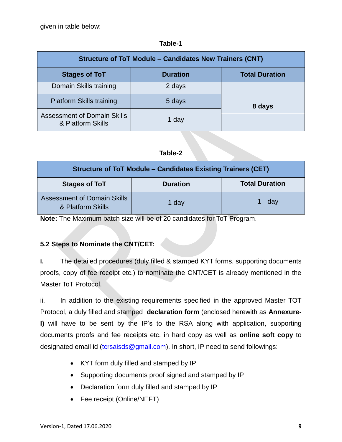given in table below:

#### **Table-1**

| <b>Structure of ToT Module - Candidates New Trainers (CNT)</b> |                 |                       |  |
|----------------------------------------------------------------|-----------------|-----------------------|--|
| <b>Stages of ToT</b>                                           | <b>Duration</b> | <b>Total Duration</b> |  |
| Domain Skills training                                         | 2 days          | 8 days                |  |
| <b>Platform Skills training</b>                                | 5 days          |                       |  |
| <b>Assessment of Domain Skills</b><br>& Platform Skills        | 1 day           |                       |  |

#### **Table-2**

| <b>Structure of ToT Module - Candidates Existing Trainers (CET)</b> |                 |                       |  |
|---------------------------------------------------------------------|-----------------|-----------------------|--|
| <b>Stages of ToT</b>                                                | <b>Duration</b> | <b>Total Duration</b> |  |
| <b>Assessment of Domain Skills</b><br>& Platform Skills             | 1 day           | day                   |  |

**Note:** The Maximum batch size will be of 20 candidates for ToT Program.

#### **5.2 Steps to Nominate the CNT/CET:**

**i.** The detailed procedures (duly filled & stamped KYT forms, supporting documents proofs, copy of fee receipt etc.) to nominate the CNT/CET is already mentioned in the Master ToT Protocol.

ii. In addition to the existing requirements specified in the approved Master TOT Protocol, a duly filled and stamped **declaration form** (enclosed herewith as **Annexure-I)** will have to be sent by the IP's to the RSA along with application, supporting documents proofs and fee receipts etc. in hard copy as well as **online soft copy** to designated email id [\(tcrsaisds@gmail.com\)](mailto:tcrsaisds@gmail.com). In short, IP need to send followings:

- KYT form duly filled and stamped by IP
- Supporting documents proof signed and stamped by IP
- Declaration form duly filled and stamped by IP
- Fee receipt (Online/NEFT)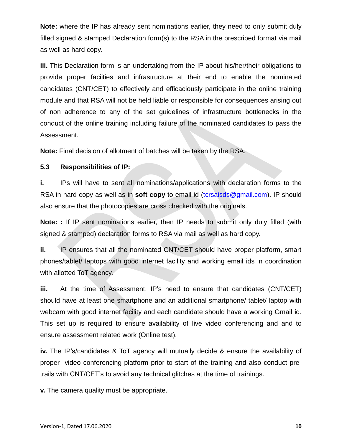**Note:** where the IP has already sent nominations earlier, they need to only submit duly filled signed & stamped Declaration form(s) to the RSA in the prescribed format via mail as well as hard copy.

**iii.** This Declaration form is an undertaking from the IP about his/her/their obligations to provide proper faciities and infrastructure at their end to enable the nominated candidates (CNT/CET) to effectively and efficaciously participate in the online training module and that RSA will not be held liable or responsible for consequences arising out of non adherence to any of the set guidelines of infrastructure bottlenecks in the conduct of the online training including failure of the nominated candidates to pass the Assessment.

**Note:** Final decision of allotment of batches will be taken by the RSA.

#### **5.3 Responsibilities of IP:**

**i.** IPs will have to sent all nominations/applications with declaration forms to the RSA in hard copy as well as in **soft copy** to email id [\(tcrsaisds@gmail.com\)](mailto:tcrsaisds@gmail.com). IP should also ensure that the photocopies are cross checked with the originals.

**Note:** : If IP sent nominations earlier, then IP needs to submit only duly filled (with signed & stamped) declaration forms to RSA via mail as well as hard copy.

**ii.** IP ensures that all the nominated CNT/CET should have proper platform, smart phones/tablet/ laptops with good internet facility and working email ids in coordination with allotted ToT agency.

**iii.** At the time of Assessment, IP's need to ensure that candidates (CNT/CET) should have at least one smartphone and an additional smartphone/ tablet/ laptop with webcam with good internet facility and each candidate should have a working Gmail id. This set up is required to ensure availability of live video conferencing and and to ensure assessment related work (Online test).

**iv.** The IP's/candidates & ToT agency will mutually decide & ensure the availability of proper video conferencing platform prior to start of the training and also conduct pretrails with CNT/CET's to avoid any technical glitches at the time of trainings.

**v.** The camera quality must be appropriate.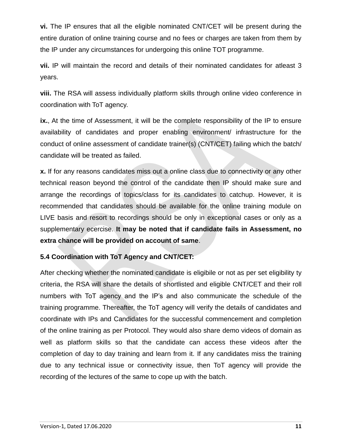**vi.** The IP ensures that all the eligible nominated CNT/CET will be present during the entire duration of online training course and no fees or charges are taken from them by the IP under any circumstances for undergoing this online TOT programme.

**vii.** IP will maintain the record and details of their nominated candidates for atleast 3 years.

**viii.** The RSA will assess individually platform skills through online video conference in coordination with ToT agency.

**ix.**, At the time of Assessment, it will be the complete responsibility of the IP to ensure availability of candidates and proper enabling environment/ infrastructure for the conduct of online assessment of candidate trainer(s) (CNT/CET) failing which the batch/ candidate will be treated as failed.

**x.** If for any reasons candidates miss out a online class due to connectivity or any other technical reason beyond the control of the candidate then IP should make sure and arrange the recordings of topics/class for its candidates to catchup. However, it is recommended that candidates should be available for the online training module on LIVE basis and resort to recordings should be only in exceptional cases or only as a supplementary ecercise. **It may be noted that if candidate fails in Assessment, no extra chance will be provided on account of same**.

#### **5.4 Coordination with ToT Agency and CNT/CET:**

After checking whether the nominated candidate is eligibile or not as per set eligibility ty criteria, the RSA will share the details of shortlisted and eligible CNT/CET and their roll numbers with ToT agency and the IP's and also communicate the schedule of the training programme. Thereafter, the ToT agency will verify the details of candidates and coordinate with IPs and Candidates for the successful commencement and completion of the online training as per Protocol. They would also share demo videos of domain as well as platform skills so that the candidate can access these videos after the completion of day to day training and learn from it. If any candidates miss the training due to any technical issue or connectivity issue, then ToT agency will provide the recording of the lectures of the same to cope up with the batch.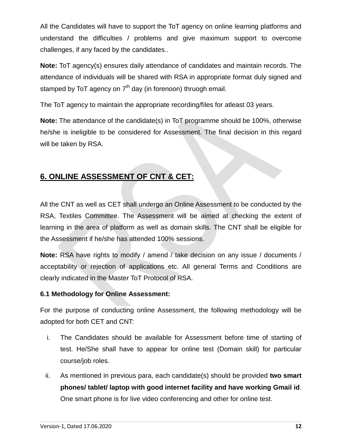All the Candidates will have to support the ToT agency on online learning platforms and understand the difficulties / problems and give maximum support to overcome challenges, if any faced by the candidates..

**Note:** ToT agency(s) ensures daily attendance of candidates and maintain records. The attendance of individuals will be shared with RSA in appropriate format duly signed and stamped by ToT agency on  $7<sup>th</sup>$  day (in forenoon) thruogh email.

The ToT agency to maintain the appropriate recording/files for atleast 03 years.

**Note:** The attendance of the candidate(s) in ToT programme should be 100%, otherwise he/she is ineligible to be considered for Assessment. The final decision in this regard will be taken by RSA.

# **6. ONLINE ASSESSMENT OF CNT & CET:**

All the CNT as well as CET shall undergo an Online Assessment to be conducted by the RSA, Textiles Committee. The Assessment will be aimed at checking the extent of learning in the area of platform as well as domain skills. The CNT shall be eligible for the Assessment if he/she has attended 100% sessions.

**Note:** RSA have rights to modify / amend / take decision on any issue / documents / acceptability or rejection of applications etc. All general Terms and Conditions are clearly indicated in the Master ToT Protocol of RSA.

#### **6.1 Methodology for Online Assessment:**

For the purpose of conducting online Assessment, the following methodology will be adopted for both CET and CNT:

- i. The Candidates should be available for Assessment before time of starting of test. He/She shall have to appear for online test (Domain skill) for particular course/job roles.
- ii. As mentioned in previous para, each candidate(s) should be provided **two smart phones/ tablet/ laptop with good internet facility and have working Gmail id**. One smart phone is for live video conferencing and other for online test.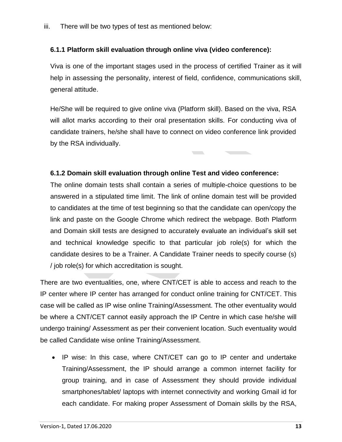#### **6.1.1 Platform skill evaluation through online viva (video conference):**

Viva is one of the important stages used in the process of certified Trainer as it will help in assessing the personality, interest of field, confidence, communications skill, general attitude.

He/She will be required to give online viva (Platform skill). Based on the viva, RSA will allot marks according to their oral presentation skills. For conducting viva of candidate trainers, he/she shall have to connect on video conference link provided by the RSA individually.

#### **6.1.2 Domain skill evaluation through online Test and video conference:**

The online domain tests shall contain a series of multiple-choice questions to be answered in a stipulated time limit. The link of online domain test will be provided to candidates at the time of test beginning so that the candidate can open/copy the link and paste on the Google Chrome which redirect the webpage. Both Platform and Domain skill tests are designed to accurately evaluate an individual's skill set and technical knowledge specific to that particular job role(s) for which the candidate desires to be a Trainer. A Candidate Trainer needs to specify course (s) / job role(s) for which accreditation is sought.

There are two eventualities, one, where CNT/CET is able to access and reach to the IP center where IP center has arranged for conduct online training for CNT/CET. This case will be called as IP wise online Training/Assessment. The other eventuality would be where a CNT/CET cannot easily approach the IP Centre in which case he/she will undergo training/ Assessment as per their convenient location. Such eventuality would be called Candidate wise online Training/Assessment.

• IP wise: In this case, where CNT/CET can go to IP center and undertake Training/Assessment, the IP should arrange a common internet facility for group training, and in case of Assessment they should provide individual smartphones/tablet/ laptops with internet connectivity and working Gmail id for each candidate. For making proper Assessment of Domain skills by the RSA,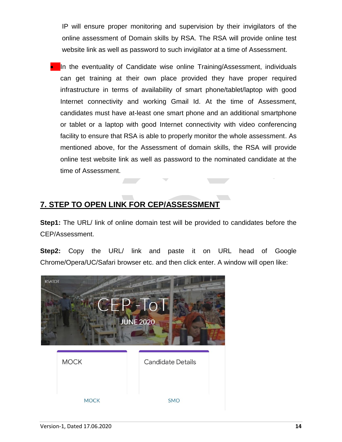IP will ensure proper monitoring and supervision by their invigilators of the online assessment of Domain skills by RSA. The RSA will provide online test website link as well as password to such invigilator at a time of Assessment.

In the eventuality of Candidate wise online Training/Assessment, individuals can get training at their own place provided they have proper required infrastructure in terms of availability of smart phone/tablet/laptop with good Internet connectivity and working Gmail Id. At the time of Assessment, candidates must have at-least one smart phone and an additional smartphone or tablet or a laptop with good Internet connectivity with video conferencing facility to ensure that RSA is able to properly monitor the whole assessment. As mentioned above, for the Assessment of domain skills, the RSA will provide online test website link as well as password to the nominated candidate at the time of Assessment.

# **7. STEP TO OPEN LINK FOR CEP/ASSESSMENT**

**Step1:** The URL/ link of online domain test will be provided to candidates before the CEP/Assessment.

**Step2:** Copy the URL/ link and paste it on URL head of Google Chrome/Opera/UC/Safari browser etc. and then click enter. A window will open like:

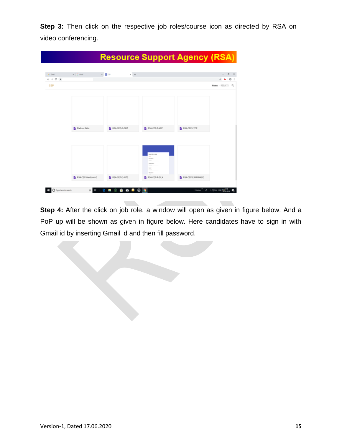**Step 3:** Then click on the respective job roles/course icon as directed by RSA on video conferencing.

| <b>6</b> Grad<br>$+$ $+$ $ +$ | X   6 Gral        | $* +$<br>$\times$ $B$ $\omega$ |                                                                                                                                            |                           | $\circ$<br>$\sim$<br>۰<br>$\sim$ $\sim$ |
|-------------------------------|-------------------|--------------------------------|--------------------------------------------------------------------------------------------------------------------------------------------|---------------------------|-----------------------------------------|
| CEP                           |                   |                                |                                                                                                                                            |                           | Home - RESULTS Q                        |
|                               |                   |                                |                                                                                                                                            |                           |                                         |
|                               |                   |                                |                                                                                                                                            |                           |                                         |
|                               |                   |                                |                                                                                                                                            |                           |                                         |
|                               |                   |                                |                                                                                                                                            |                           |                                         |
|                               |                   |                                |                                                                                                                                            |                           |                                         |
|                               | Pattom Skils      | <b>B</b> RSA CEP-G-GMT         | <b>B</b> RSACEP-P-KNT                                                                                                                      | <b>B</b> RSACEP-TCP       |                                         |
|                               |                   |                                |                                                                                                                                            |                           |                                         |
|                               |                   |                                |                                                                                                                                            |                           |                                         |
|                               |                   |                                | RAGFAGUE                                                                                                                                   |                           |                                         |
|                               |                   |                                | <b>SELECT</b><br>the state of the                                                                                                          |                           |                                         |
|                               |                   |                                | can describe and<br><b>STATE COLLECTION</b><br><b>STATE</b>                                                                                |                           |                                         |
|                               |                   |                                | $\frac{1}{2} \left( \frac{1}{2} \right) \left( \frac{1}{2} \right) \left( \frac{1}{2} \right) \left( \frac{1}{2} \right)$<br><b>Window</b> |                           |                                         |
|                               | RSA-CEP-Handcom-Q | <b>B</b> RSACEP-E-JUTE         | <b>B</b> RSACEP-R-SUK                                                                                                                      | <b>RSA-CEP-E-MAWAIADE</b> |                                         |

**Step 4:** After the click on job role, a window will open as given in figure below. And a PoP up will be shown as given in figure below. Here candidates have to sign in with Gmail id by inserting Gmail id and then fill password.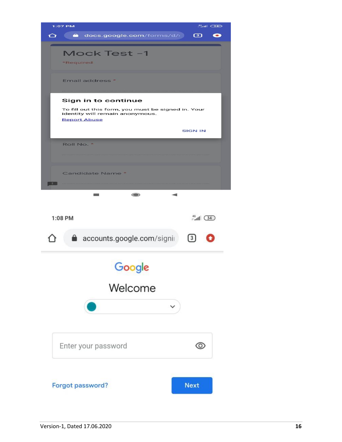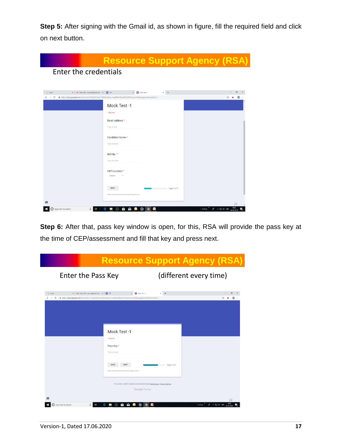**Step 5:** After signing with the Gmail id, as shown in figure, fill the required field and click on next button.

|                                                                      | <b>Resource Support Agency (RSA)</b>                                                                                     |                                            |
|----------------------------------------------------------------------|--------------------------------------------------------------------------------------------------------------------------|--------------------------------------------|
| <b>Enter the credentials</b>                                         |                                                                                                                          |                                            |
|                                                                      |                                                                                                                          |                                            |
| $x$   M Inbox (54) - aac.rsa@gmail.com - $x$   $\Box$ CEP<br>G Gmail | $\times$ +<br>Mock Test -1<br>$\times$                                                                                   | $\sigma$                                   |
| $\rightarrow$<br>С                                                   | https://docs.google.com/forms/d/e/1FAIpQLSeqCEVSNSGn6buu-Fay4IsMrHBpu8TSxXKD5Iw_6mh1Rwyqpg/viewform?pli=1<br>Mock Test-1 |                                            |
|                                                                      | * Reguired                                                                                                               |                                            |
|                                                                      | Email address *                                                                                                          |                                            |
|                                                                      | Your email                                                                                                               |                                            |
|                                                                      | Candidate Name *<br>Your answer                                                                                          |                                            |
|                                                                      | Roll No. *<br>Your answer                                                                                                |                                            |
|                                                                      | CEP Location *<br>Choose                                                                                                 |                                            |
|                                                                      | <b>NEXT</b><br>Page 1 of 3<br>Never submit passwords through Google Forms.                                               |                                            |
| J.<br>O Type here to search<br>U                                     | ග<br>G<br>m                                                                                                              | 14:22<br><b>A</b><br>∧ © ¢x ENG<br>Desktop |

**Step 6:** After that, pass key window is open, for this, RSA will provide the pass key at the time of CEP/assessment and fill that key and press next.

|                                                                                                             |                                                                                                                               | <b>Resource Support Agency (RSA)</b> |                                                                        |
|-------------------------------------------------------------------------------------------------------------|-------------------------------------------------------------------------------------------------------------------------------|--------------------------------------|------------------------------------------------------------------------|
| Enter the Pass Key                                                                                          |                                                                                                                               | (different every time)               |                                                                        |
| G Gmail<br>X   M Inbox (54) - aaczsa@gmail.com - X   <mark>++</mark> CEP<br>$\leftarrow$ $\rightarrow$<br>C | Mock Test -1<br>https://docs.google.com/forms/d/e/1FAlpQLSeqCEVSNSGn6buu-Fay4lsMrHBpu8TSxXKD5lw_6mh1Rwyqpg/formResponse?pli=1 | $\times$ +                           |                                                                        |
|                                                                                                             |                                                                                                                               |                                      |                                                                        |
|                                                                                                             | <b>Mock Test-1</b>                                                                                                            |                                      |                                                                        |
|                                                                                                             | * Required                                                                                                                    |                                      |                                                                        |
|                                                                                                             | Pass Key *<br>Your answer                                                                                                     |                                      |                                                                        |
|                                                                                                             | <b>BACK</b><br><b>NEXT</b>                                                                                                    | Page 2 of 3                          |                                                                        |
|                                                                                                             | Never submit passwords through Google Forms.                                                                                  |                                      |                                                                        |
|                                                                                                             | This content is neither created nor endorsed by Google. Report Abuse - Terms of Service<br>Google Forms                       |                                      |                                                                        |
| $\bigcap$ Type here to search                                                                               | ම<br><b>B</b><br>R<br>(U)<br><b>DOT</b>                                                                                       | <b>CO</b><br>Desktop                 | 22<br>14:27<br>$R^R \wedge \Box \Leftrightarrow \Box$ ENG<br>30-05-201 |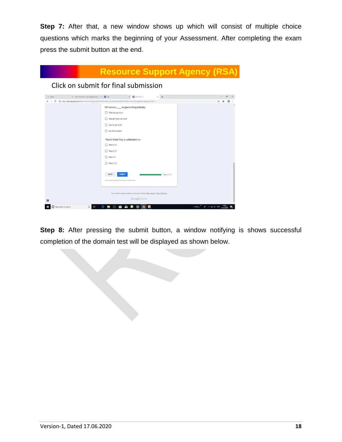**Step 7:** After that, a new window shows up which will consist of multiple choice questions which marks the beginning of your Assessment. After completing the exam press the submit button at the end.

|                                                          | <b>Resource Support Agency (RSA)</b>                                                                                                                                                                                                                                                                                                        |                                    |  |
|----------------------------------------------------------|---------------------------------------------------------------------------------------------------------------------------------------------------------------------------------------------------------------------------------------------------------------------------------------------------------------------------------------------|------------------------------------|--|
| Click on submit for final submission                     |                                                                                                                                                                                                                                                                                                                                             |                                    |  |
| X M Inbox (54) - aacra@gmail.com X G CEP<br>G Gmail<br>C | $x +$<br>Mock Test -1<br>$\times$<br>https://docs.google.com/forms/d/e/1FAIpQLSeqCEVSNSGn6buu-Fay4IsMrHBpu8TSxXKD5lw_6mh1Rwyqpg/formResponse?pli=1                                                                                                                                                                                          |                                    |  |
|                                                          | SPI means ____ in garmenting industry<br>○ Stitches per inch<br>$O$ straight lines per inch<br>$\bigcap$ seams per inch<br>$\bigcap$ all of the above<br>"World Water Day is celebrated on<br>O March 22<br>C March 27<br>$O$ March 4<br>O March 16<br>BACK<br><b>SUBMIT</b><br>Page 3 of 3<br>Never submit passwords through Google Forms. |                                    |  |
| Type here to search                                      | This content is neither created nor endorsed by Google. Report Abuse - Terms of Service<br>Google Forms<br>8 Q B<br>$\odot$<br>$\left(\overline{u}\right)$<br><b>LES</b><br><b>Page</b>                                                                                                                                                     | d <sup>e</sup> へ口dx ENG<br>Desktop |  |

**Step 8:** After pressing the submit button, a window notifying is shows successful completion of the domain test will be displayed as shown below.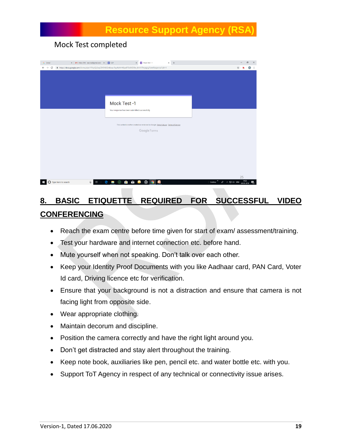# **Resource Support Agency (RS**

### Mock Test completed



# **8. BASIC ETIQUETTE REQUIRED FOR SUCCESSFUL VIDEO CONFERENCING**

- Reach the exam centre before time given for start of exam/ assessment/training.
- Test your hardware and internet connection etc. before hand.
- Mute yourself when not speaking. Don't talk over each other.
- Keep your Identity Proof Documents with you like Aadhaar card, PAN Card, Voter Id card, Driving licence etc for verification.
- Ensure that your background is not a distraction and ensure that camera is not facing light from opposite side.
- Wear appropriate clothing.
- Maintain decorum and discipline.
- Position the camera correctly and have the right light around you.
- Don't get distracted and stay alert throughout the training.
- Keep note book, auxiliaries like pen, pencil etc. and water bottle etc. with you.
- Support ToT Agency in respect of any technical or connectivity issue arises.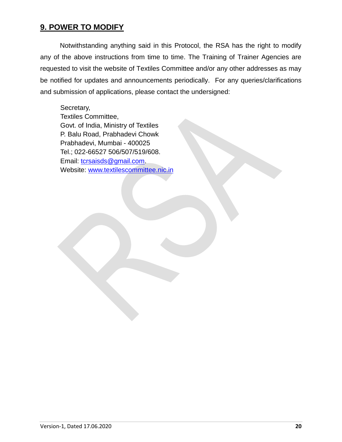### **9. POWER TO MODIFY**

Notwithstanding anything said in this Protocol, the RSA has the right to modify any of the above instructions from time to time. The Training of Trainer Agencies are requested to visit the website of Textiles Committee and/or any other addresses as may be notified for updates and announcements periodically. For any queries/clarifications and submission of applications, please contact the undersigned:

Secretary, Textiles Committee, Govt. of India, Ministry of Textiles P. Balu Road, Prabhadevi Chowk Prabhadevi, Mumbai - 400025 Tel.; 022-66527 506/507/519/608. Email: [tcrsaisds@gmail.com.](mailto:tcrsaisds@gmail.com) Website: [www.textilescommittee.nic.in](http://www.textilescommittee.nic.in/)